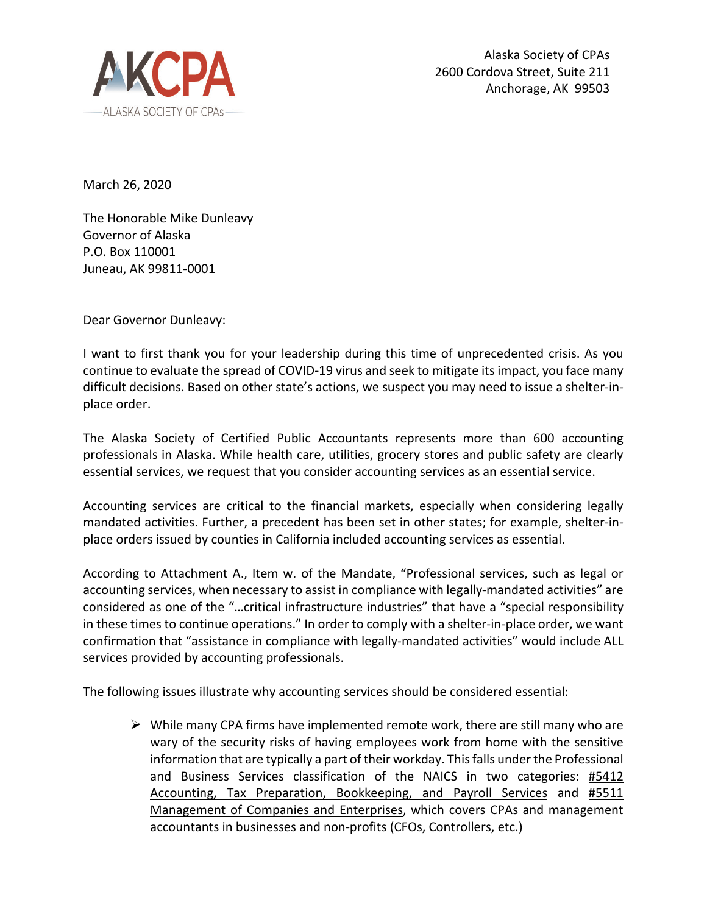

March 26, 2020

The Honorable Mike Dunleavy Governor of Alaska P.O. Box 110001 Juneau, AK 99811-0001

Dear Governor Dunleavy:

I want to first thank you for your leadership during this time of unprecedented crisis. As you continue to evaluate the spread of COVID-19 virus and seek to mitigate its impact, you face many difficult decisions. Based on other state's actions, we suspect you may need to issue a shelter-inplace order.

The Alaska Society of Certified Public Accountants represents more than 600 accounting professionals in Alaska. While health care, utilities, grocery stores and public safety are clearly essential services, we request that you consider accounting services as an essential service.

Accounting services are critical to the financial markets, especially when considering legally mandated activities. Further, a precedent has been set in other states; for example, shelter-inplace orders issued by counties in California included accounting services as essential.

According to Attachment A., Item w. of the Mandate, "Professional services, such as legal or accounting services, when necessary to assist in compliance with legally-mandated activities" are considered as one of the "…critical infrastructure industries" that have a "special responsibility in these times to continue operations." In order to comply with a shelter-in-place order, we want confirmation that "assistance in compliance with legally-mandated activities" would include ALL services provided by accounting professionals.

The following issues illustrate why accounting services should be considered essential:

 $\triangleright$  While many CPA firms have implemented remote work, there are still many who are wary of the security risks of having employees work from home with the sensitive information that are typically a part of their workday. This falls under the Professional and Business Services classification of the NAICS in two categories: #5412 Accounting, Tax Preparation, Bookkeeping, and Payroll Services and #5511 Management of Companies and Enterprises, which covers CPAs and management accountants in businesses and non-profits (CFOs, Controllers, etc.)